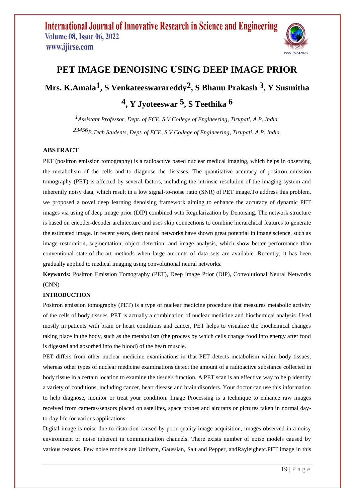

# **PET IMAGE DENOISING USING DEEP IMAGE PRIOR Mrs. K.Amala1, S Venkateeswarareddy2 , S Bhanu Prakash 3 , Y Susmitha 4 , Y Jyoteeswar 5 , S Teethika 6**

*1Assistant Professor, Dept. of ECE, S V College of Engineering, Tirupati, A.P, India. 23456B.Tech Students, Dept. of ECE, S V College of Engineering, Tirupati, A.P, India.*

# **ABSTRACT**

PET (positron emission tomography) is a radioactive based nuclear medical imaging, which helps in observing the metabolism of the cells and to diagnose the diseases. The quantitative accuracy of positron emission tomography (PET) is affected by several factors, including the intrinsic resolution of the imaging system and inherently noisy data, which result in a low signal-to-noise ratio (SNR) of PET image.To address this problem, we proposed a novel deep learning denoising framework aiming to enhance the accuracy of dynamic PET images via using of deep image prior (DIP) combined with Regularization by Denoising. The network structure is based on encoder-decoder architecture and uses skip connections to combine hierarchical features to generate the estimated image. In recent years, deep neural networks have shown great potential in image science, such as image restoration, segmentation, object detection, and image analysis, which show better performance than conventional state-of-the-art methods when large amounts of data sets are available. Recently, it has been gradually applied to medical imaging using convolutional neural networks.

**Keywords:** Positron Emission Tomography (PET), Deep Image Prior (DIP), Convolutional Neural Networks (CNN)

## **INTRODUCTION**

Positron emission tomography (PET) is a type of nuclear medicine procedure that measures metabolic activity of the cells of body tissues. PET is actually a combination of nuclear medicine and biochemical analysis. Used mostly in patients with brain or heart conditions and cancer, PET helps to visualize the biochemical changes taking place in the body, such as the metabolism (the process by which cells change food into energy after food is digested and absorbed into the blood) of the heart muscle.

PET differs from other nuclear medicine examinations in that PET detects metabolism within body tissues, whereas other types of nuclear medicine examinations detect the amount of a radioactive substance collected in body tissue in a certain location to examine the tissue's function. A PET scan is an effective way to help identify a variety of conditions, including cancer, heart disease and brain disorders. Your doctor can use this information to help diagnose, monitor or treat your condition. Image Processing is a technique to enhance raw images received from cameras/sensors placed on satellites, space probes and aircrafts or pictures taken in normal dayto-day life for various applications.

Digital image is noise due to distortion caused by poor quality image acquisition, images observed in a noisy environment or noise inherent in communication channels. There exists number of noise models caused by various reasons. Few noise models are Uniform, Gaussian, Salt and Pepper, andRayleighetc.PET image in this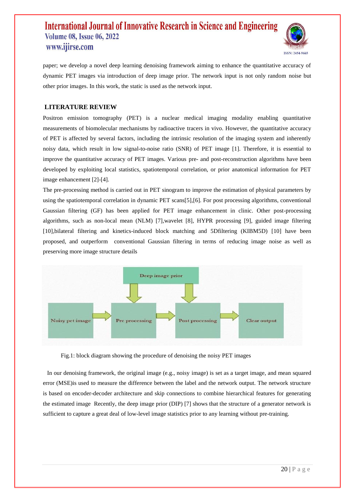

paper; we develop a novel deep learning denoising framework aiming to enhance the quantitative accuracy of dynamic PET images via introduction of deep image prior. The network input is not only random noise but other prior images. In this work, the static is used as the network input.

## **LITERATURE REVIEW**

Positron emission tomography (PET) is a nuclear medical imaging modality enabling quantitative measurements of biomolecular mechanisms by radioactive tracers in vivo. However, the quantitative accuracy of PET is affected by several factors, including the intrinsic resolution of the imaging system and inherently noisy data, which result in low signal-to-noise ratio (SNR) of PET image [1]. Therefore, it is essential to improve the quantitative accuracy of PET images. Various pre- and post-reconstruction algorithms have been developed by exploiting local statistics, spatiotemporal correlation, or prior anatomical information for PET image enhancement [2]-[4].

The pre-processing method is carried out in PET sinogram to improve the estimation of physical parameters by using the spatiotemporal correlation in dynamic PET scans[5],[6]. For post processing algorithms, conventional Gaussian filtering (GF) has been applied for PET image enhancement in clinic. Other post-processing algorithms, such as non-local mean (NLM) [7],wavelet [8], HYPR processing [9], guided image filtering [10], bilateral filtering and kinetics-induced block matching and 5Dfiltering (KIBM5D) [10] have been proposed, and outperform conventional Gaussian filtering in terms of reducing image noise as well as preserving more image structure details



Fig.1: block diagram showing the procedure of denoising the noisy PET images

In our denoising framework, the original image (e.g., noisy image) is set as a target image, and mean squared error (MSE)is used to measure the difference between the label and the network output. The network structure is based on encoder-decoder architecture and skip connections to combine hierarchical features for generating the estimated image Recently, the deep image prior (DIP) [7] shows that the structure of a generator network is sufficient to capture a great deal of low-level image statistics prior to any learning without pre-training.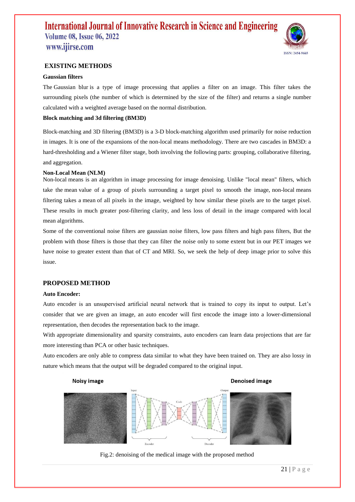

## **EXISTING METHODS**

#### **Gaussian filters**

The Gaussian blur is a type of image processing that applies a filter on an image. This filter takes the surrounding pixels (the number of which is determined by the size of the filter) and returns a single number calculated with a weighted average based on the normal distribution.

#### **Block matching and 3d filtering (BM3D)**

Block-matching and 3D filtering (BM3D) is a 3-D block-matching algorithm used primarily for noise reduction in images. It is one of the expansions of the non-local means methodology. There are two cascades in BM3D: a hard-thresholding and a Wiener filter stage, both involving the following parts: grouping, collaborative filtering, and aggregation.

#### **Non-Local Mean (NLM)**

Non-local means is an algorithm in image processing for image denoising. Unlike "local mean" filters, which take the mean value of a group of pixels surrounding a target pixel to smooth the image, non-local means filtering takes a mean of all pixels in the image, weighted by how similar these pixels are to the target pixel. These results in much greater post-filtering clarity, and less loss of detail in the image compared with local mean algorithms.

Some of the conventional noise filters are gaussian noise filters, low pass filters and high pass filters, But the problem with those filters is those that they can filter the noise only to some extent but in our PET images we have noise to greater extent than that of CT and MRI. So, we seek the help of deep image prior to solve this issue.

#### **PROPOSED METHOD**

#### **Auto Encoder:**

Auto encoder is an unsupervised artificial neural network that is trained to copy its input to output. Let's consider that we are given an image, an auto encoder will first encode the image into a lower-dimensional representation, then decodes the representation back to the image.

With appropriate dimensionality and sparsity constraints, auto encoders can learn data projections that are far more interesting than PCA or other basic techniques.

Auto encoders are only able to compress data similar to what they have been trained on. They are also lossy in nature which means that the output will be degraded compared to the original input.

#### **Noisy image**

#### **Denoised image**



Fig.2: denoising of the medical image with the proposed method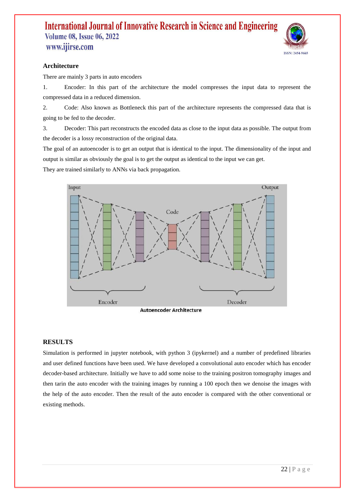

# **Architecture**

There are mainly 3 parts in auto encoders

1. Encoder: In this part of the architecture the model compresses the input data to represent the compressed data in a reduced dimension.

2. Code: Also known as Bottleneck this part of the architecture represents the compressed data that is going to be fed to the decoder.

3. Decoder: This part reconstructs the encoded data as close to the input data as possible. The output from the decoder is a lossy reconstruction of the original data.

The goal of an autoencoder is to get an output that is identical to the input. The dimensionality of the input and output is similar as obviously the goal is to get the output as identical to the input we can get.

They are trained similarly to ANNs via back propagation.



### **RESULTS**

Simulation is performed in jupyter notebook, with python 3 (ipykernel) and a number of predefined libraries and user defined functions have been used. We have developed a convolutional auto encoder which has encoder decoder-based architecture. Initially we have to add some noise to the training positron tomography images and then tarin the auto encoder with the training images by running a 100 epoch then we denoise the images with the help of the auto encoder. Then the result of the auto encoder is compared with the other conventional or existing methods.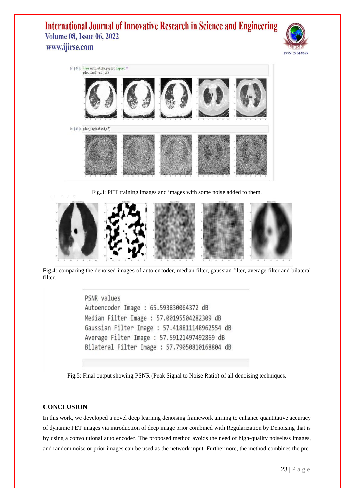



Fig.3: PET training images and images with some noise added to them.



Fig.4: comparing the denoised images of auto encoder, median filter, gaussian filter, average filter and bilateral filter.

PSNR values Autoencoder Image : 65.593830064372 dB Median Filter Image : 57.00195504282309 dB Gaussian Filter Image : 57.418811148962554 dB Average Filter Image : 57.59121497492869 dB Bilateral Filter Image : 57.79050810168804 dB

Fig.5: Final output showing PSNR (Peak Signal to Noise Ratio) of all denoising techniques.

## **CONCLUSION**

In this work, we developed a novel deep learning denoising framework aiming to enhance quantitative accuracy of dynamic PET images via introduction of deep image prior combined with Regularization by Denoising that is by using a convolutional auto encoder. The proposed method avoids the need of high-quality noiseless images, and random noise or prior images can be used as the network input. Furthermore, the method combines the pre-